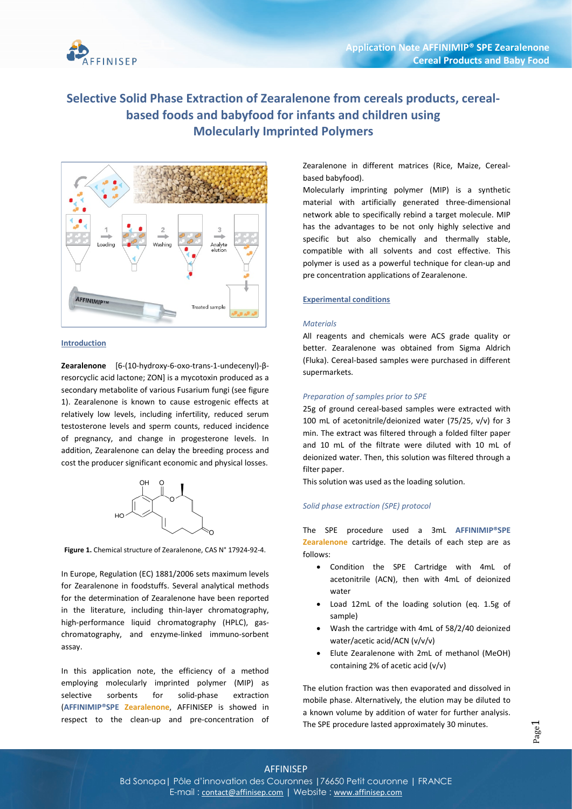

# Selective Solid Phase Extraction of Zearalenone from cereals products, cerealbased foods and babyfood for infants and children using Molecularly Imprinted Polymers



# Introduction

Zearalenone [6-(10-hydroxy-6-oxo-trans-1-undecenyl)-βresorcyclic acid lactone; ZON] is a mycotoxin produced as a secondary metabolite of various Fusarium fungi (see figure 1). Zearalenone is known to cause estrogenic effects at relatively low levels, including infertility, reduced serum testosterone levels and sperm counts, reduced incidence of pregnancy, and change in progesterone levels. In addition, Zearalenone can delay the breeding process and cost the producer significant economic and physical losses.



Figure 1. Chemical structure of Zearalenone, CAS N° 17924-92-4.

In Europe, Regulation (EC) 1881/2006 sets maximum levels for Zearalenone in foodstuffs. Several analytical methods for the determination of Zearalenone have been reported in the literature, including thin-layer chromatography, high-performance liquid chromatography (HPLC), gaschromatography, and enzyme-linked immuno-sorbent assay.

In this application note, the efficiency of a method employing molecularly imprinted polymer (MIP) as selective sorbents for solid-phase extraction (AFFINIMIP®SPE Zearalenone, AFFINISEP is showed in respect to the clean-up and pre-concentration of Zearalenone in different matrices (Rice, Maize, Cerealbased babyfood).

Molecularly imprinting polymer (MIP) is a synthetic material with artificially generated three-dimensional network able to specifically rebind a target molecule. MIP has the advantages to be not only highly selective and specific but also chemically and thermally stable, compatible with all solvents and cost effective. This polymer is used as a powerful technique for clean-up and pre concentration applications of Zearalenone.

# Experimental conditions

### **Materials**

All reagents and chemicals were ACS grade quality or better. Zearalenone was obtained from Sigma Aldrich (Fluka). Cereal-based samples were purchased in different supermarkets.

### Preparation of samples prior to SPE

25g of ground cereal-based samples were extracted with 100 mL of acetonitrile/deionized water (75/25, v/v) for 3 min. The extract was filtered through a folded filter paper and 10 mL of the filtrate were diluted with 10 mL of deionized water. Then, this solution was filtered through a filter paper.

This solution was used as the loading solution.

### Solid phase extraction (SPE) protocol

The SPE procedure used a 3mL AFFINIMIP®SPE Zearalenone cartridge. The details of each step are as follows:

- Condition the SPE Cartridge with 4mL of acetonitrile (ACN), then with 4mL of deionized water
- Load 12mL of the loading solution (eq. 1.5g of sample)
- Wash the cartridge with 4mL of 58/2/40 deionized water/acetic acid/ACN (v/v/v)
- Elute Zearalenone with 2mL of methanol (MeOH) containing 2% of acetic acid (v/v)

The elution fraction was then evaporated and dissolved in mobile phase. Alternatively, the elution may be diluted to a known volume by addition of water for further analysis. The SPE procedure lasted approximately 30 minutes.

# AFFINISEP